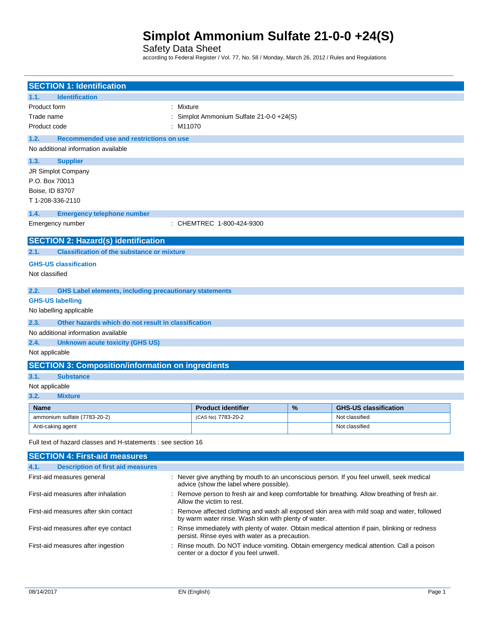### Safety Data Sheet

according to Federal Register / Vol. 77, No. 58 / Monday, March 26, 2012 / Rules and Regulations

| <b>SECTION 1: Identification</b>                                                                                                                                                              |                                         |      |                                                                                                |
|-----------------------------------------------------------------------------------------------------------------------------------------------------------------------------------------------|-----------------------------------------|------|------------------------------------------------------------------------------------------------|
| <b>Identification</b><br>1.1.                                                                                                                                                                 |                                         |      |                                                                                                |
| Product form                                                                                                                                                                                  | : Mixture                               |      |                                                                                                |
| Trade name                                                                                                                                                                                    | Simplot Ammonium Sulfate 21-0-0 +24(S)  |      |                                                                                                |
| Product code                                                                                                                                                                                  | M11070                                  |      |                                                                                                |
| Recommended use and restrictions on use<br>1.2.                                                                                                                                               |                                         |      |                                                                                                |
| No additional information available                                                                                                                                                           |                                         |      |                                                                                                |
| <b>Supplier</b><br>1.3.                                                                                                                                                                       |                                         |      |                                                                                                |
| JR Simplot Company                                                                                                                                                                            |                                         |      |                                                                                                |
| P.O. Box 70013                                                                                                                                                                                |                                         |      |                                                                                                |
| Boise, ID 83707                                                                                                                                                                               |                                         |      |                                                                                                |
| T1-208-336-2110                                                                                                                                                                               |                                         |      |                                                                                                |
| 1.4.<br><b>Emergency telephone number</b>                                                                                                                                                     |                                         |      |                                                                                                |
| Emergency number                                                                                                                                                                              | : CHEMTREC 1-800-424-9300               |      |                                                                                                |
| <b>SECTION 2: Hazard(s) identification</b>                                                                                                                                                    |                                         |      |                                                                                                |
| <b>Classification of the substance or mixture</b><br>2.1.                                                                                                                                     |                                         |      |                                                                                                |
| <b>GHS-US classification</b>                                                                                                                                                                  |                                         |      |                                                                                                |
| Not classified                                                                                                                                                                                |                                         |      |                                                                                                |
| 2.2.<br><b>GHS Label elements, including precautionary statements</b>                                                                                                                         |                                         |      |                                                                                                |
| <b>GHS-US labelling</b>                                                                                                                                                                       |                                         |      |                                                                                                |
| No labelling applicable                                                                                                                                                                       |                                         |      |                                                                                                |
| 2.3.<br>Other hazards which do not result in classification                                                                                                                                   |                                         |      |                                                                                                |
| No additional information available                                                                                                                                                           |                                         |      |                                                                                                |
| 2.4.<br><b>Unknown acute toxicity (GHS US)</b>                                                                                                                                                |                                         |      |                                                                                                |
| Not applicable                                                                                                                                                                                |                                         |      |                                                                                                |
| <b>SECTION 3: Composition/information on ingredients</b>                                                                                                                                      |                                         |      |                                                                                                |
| 3.1.<br><b>Substance</b>                                                                                                                                                                      |                                         |      |                                                                                                |
| Not applicable                                                                                                                                                                                |                                         |      |                                                                                                |
| 3.2.<br><b>Mixture</b>                                                                                                                                                                        |                                         |      |                                                                                                |
| Name                                                                                                                                                                                          | <b>Product identifier</b>               | $\%$ | <b>GHS-US classification</b>                                                                   |
| ammonium sulfate (7783-20-2)                                                                                                                                                                  | (CAS No) 7783-20-2                      |      | Not classified                                                                                 |
| Anti-caking agent                                                                                                                                                                             |                                         |      | Not classified                                                                                 |
| Full text of hazard classes and H-statements : see section 16                                                                                                                                 |                                         |      |                                                                                                |
| <b>SECTION 4: First-aid measures</b>                                                                                                                                                          |                                         |      |                                                                                                |
| <b>Description of first aid measures</b><br>4.1.                                                                                                                                              |                                         |      |                                                                                                |
| First-aid measures general                                                                                                                                                                    | advice (show the label where possible). |      | : Never give anything by mouth to an unconscious person. If you feel unwell, seek medical      |
| First-aid measures after inhalation                                                                                                                                                           | Allow the victim to rest.               |      | : Remove person to fresh air and keep comfortable for breathing. Allow breathing of fresh air. |
| First-aid measures after skin contact<br>: Remove affected clothing and wash all exposed skin area with mild soap and water, followed<br>by warm water rinse. Wash skin with plenty of water. |                                         |      |                                                                                                |
|                                                                                                                                                                                               |                                         |      |                                                                                                |

First-aid measures after ingestion : Rinse mouth. Do NOT induce vomiting. Obtain emergency medical attention. Call a poison center or a doctor if you feel unwell.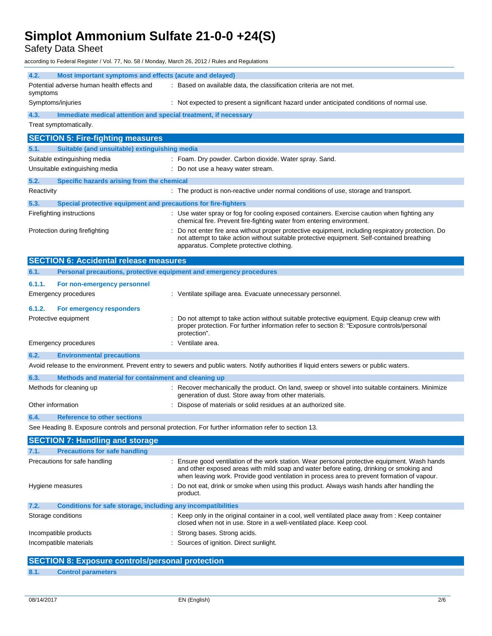Safety Data Sheet

according to Federal Register / Vol. 77, No. 58 / Monday, March 26, 2012 / Rules and Regulations

| 4.2.              | Most important symptoms and effects (acute and delayed)             |                                                                                                                                                                                                                                                                                         |
|-------------------|---------------------------------------------------------------------|-----------------------------------------------------------------------------------------------------------------------------------------------------------------------------------------------------------------------------------------------------------------------------------------|
| symptoms          | Potential adverse human health effects and                          | : Based on available data, the classification criteria are not met.                                                                                                                                                                                                                     |
|                   | Symptoms/injuries                                                   | : Not expected to present a significant hazard under anticipated conditions of normal use.                                                                                                                                                                                              |
| 4.3.              | Immediate medical attention and special treatment, if necessary     |                                                                                                                                                                                                                                                                                         |
|                   | Treat symptomatically.                                              |                                                                                                                                                                                                                                                                                         |
|                   | <b>SECTION 5: Fire-fighting measures</b>                            |                                                                                                                                                                                                                                                                                         |
| 5.1.              | Suitable (and unsuitable) extinguishing media                       |                                                                                                                                                                                                                                                                                         |
|                   | Suitable extinguishing media                                        | : Foam. Dry powder. Carbon dioxide. Water spray. Sand.                                                                                                                                                                                                                                  |
|                   | Unsuitable extinguishing media                                      | : Do not use a heavy water stream.                                                                                                                                                                                                                                                      |
| 5.2.              | Specific hazards arising from the chemical                          |                                                                                                                                                                                                                                                                                         |
| Reactivity        |                                                                     | : The product is non-reactive under normal conditions of use, storage and transport.                                                                                                                                                                                                    |
| 5.3.              | Special protective equipment and precautions for fire-fighters      |                                                                                                                                                                                                                                                                                         |
|                   | Firefighting instructions                                           | : Use water spray or fog for cooling exposed containers. Exercise caution when fighting any<br>chemical fire. Prevent fire-fighting water from entering environment.                                                                                                                    |
|                   | Protection during firefighting                                      | Do not enter fire area without proper protective equipment, including respiratory protection. Do<br>not attempt to take action without suitable protective equipment. Self-contained breathing<br>apparatus. Complete protective clothing.                                              |
|                   | <b>SECTION 6: Accidental release measures</b>                       |                                                                                                                                                                                                                                                                                         |
| 6.1.              | Personal precautions, protective equipment and emergency procedures |                                                                                                                                                                                                                                                                                         |
| 6.1.1.            | For non-emergency personnel                                         |                                                                                                                                                                                                                                                                                         |
|                   | Emergency procedures                                                | : Ventilate spillage area. Evacuate unnecessary personnel.                                                                                                                                                                                                                              |
| 6.1.2.            | For emergency responders                                            |                                                                                                                                                                                                                                                                                         |
|                   | Protective equipment                                                | Do not attempt to take action without suitable protective equipment. Equip cleanup crew with<br>proper protection. For further information refer to section 8: "Exposure controls/personal<br>protection".                                                                              |
|                   | Emergency procedures                                                | : Ventilate area.                                                                                                                                                                                                                                                                       |
| 6.2.              | <b>Environmental precautions</b>                                    |                                                                                                                                                                                                                                                                                         |
|                   |                                                                     | Avoid release to the environment. Prevent entry to sewers and public waters. Notify authorities if liquid enters sewers or public waters.                                                                                                                                               |
| 6.3.              | Methods and material for containment and cleaning up                |                                                                                                                                                                                                                                                                                         |
|                   | Methods for cleaning up                                             | : Recover mechanically the product. On land, sweep or shovel into suitable containers. Minimize<br>generation of dust. Store away from other materials.                                                                                                                                 |
| Other information |                                                                     | Dispose of materials or solid residues at an authorized site.                                                                                                                                                                                                                           |
| 6.4.              | <b>Reference to other sections</b>                                  |                                                                                                                                                                                                                                                                                         |
|                   |                                                                     | See Heading 8. Exposure controls and personal protection. For further information refer to section 13.                                                                                                                                                                                  |
|                   | <b>SECTION 7: Handling and storage</b>                              |                                                                                                                                                                                                                                                                                         |
| 7.1.              | <b>Precautions for safe handling</b>                                |                                                                                                                                                                                                                                                                                         |
|                   | Precautions for safe handling                                       | : Ensure good ventilation of the work station. Wear personal protective equipment. Wash hands<br>and other exposed areas with mild soap and water before eating, drinking or smoking and<br>when leaving work. Provide good ventilation in process area to prevent formation of vapour. |
|                   | Hygiene measures                                                    | Do not eat, drink or smoke when using this product. Always wash hands after handling the<br>product.                                                                                                                                                                                    |
| 7.2.              | Conditions for safe storage, including any incompatibilities        |                                                                                                                                                                                                                                                                                         |
|                   | Storage conditions                                                  | : Keep only in the original container in a cool, well ventilated place away from : Keep container<br>closed when not in use. Store in a well-ventilated place. Keep cool.                                                                                                               |

| Incompatible materials | : Sources of ignition. Direct sunlight. |  |
|------------------------|-----------------------------------------|--|

## **SECTION 8: Exposure controls/personal protection**

### **8.1. Control parameters**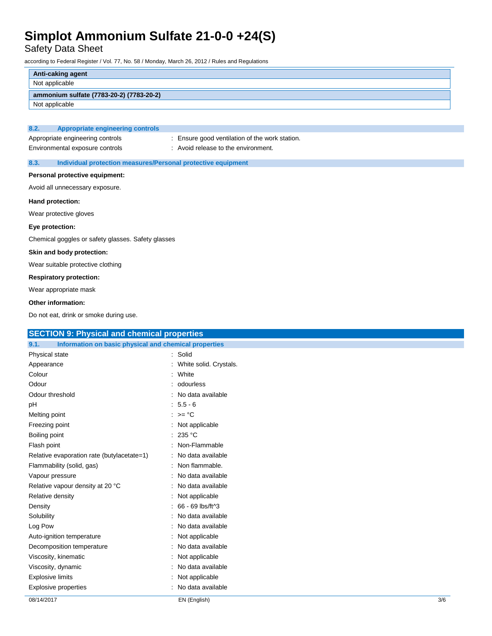Safety Data Sheet

according to Federal Register / Vol. 77, No. 58 / Monday, March 26, 2012 / Rules and Regulations

|      | Anti-caking agent                        |
|------|------------------------------------------|
|      | Not applicable                           |
|      | ammonium sulfate (7783-20-2) (7783-20-2) |
|      | Not applicable                           |
|      |                                          |
| 8.2. | <b>Appropriate engineering controls</b>  |

| . |                                  | $\sim$ propriate originate in $\alpha$ |
|---|----------------------------------|----------------------------------------|
|   |                                  |                                        |
|   | Appropriate engineering controls |                                        |
|   |                                  |                                        |

Environmental exposure controls : Avoid release to the environment.

Appropriate engineering controls : Ensure good ventilation of the work station.

#### **8.3. Individual protection measures/Personal protective equipment**

#### **Personal protective equipment:**

Avoid all unnecessary exposure.

#### **Hand protection:**

Wear protective gloves

#### **Eye protection:**

Chemical goggles or safety glasses. Safety glasses

#### **Skin and body protection:**

Wear suitable protective clothing

#### **Respiratory protection:**

Wear appropriate mask

#### **Other information:**

Do not eat, drink or smoke during use.

| <b>SECTION 9: Physical and chemical properties</b>            |                          |     |
|---------------------------------------------------------------|--------------------------|-----|
| Information on basic physical and chemical properties<br>9.1. |                          |     |
| Physical state                                                | : Solid                  |     |
| Appearance                                                    | : White solid. Crystals. |     |
| Colour                                                        | : White                  |     |
| Odour                                                         | : odourless              |     |
| Odour threshold                                               | : No data available      |     |
| pH                                                            | $: 5.5 - 6$              |     |
| Melting point                                                 | : $>=$ °C                |     |
| Freezing point                                                | : Not applicable         |     |
| Boiling point                                                 | : 235 °C                 |     |
| Flash point                                                   | : Non-Flammable          |     |
| Relative evaporation rate (butylacetate=1)                    | : No data available      |     |
| Flammability (solid, gas)                                     | : Non flammable.         |     |
| Vapour pressure                                               | : No data available      |     |
| Relative vapour density at 20 °C                              | : No data available      |     |
| Relative density                                              | : Not applicable         |     |
| Density                                                       | $: 66 - 69$ lbs/ft^3     |     |
| Solubility                                                    | : No data available      |     |
| Log Pow                                                       | : No data available      |     |
| Auto-ignition temperature                                     | : Not applicable         |     |
| Decomposition temperature                                     | : No data available      |     |
| Viscosity, kinematic                                          | : Not applicable         |     |
| Viscosity, dynamic                                            | : No data available      |     |
| <b>Explosive limits</b>                                       | : Not applicable         |     |
| <b>Explosive properties</b>                                   | : No data available      |     |
| 08/14/2017                                                    | EN (English)             | 3/6 |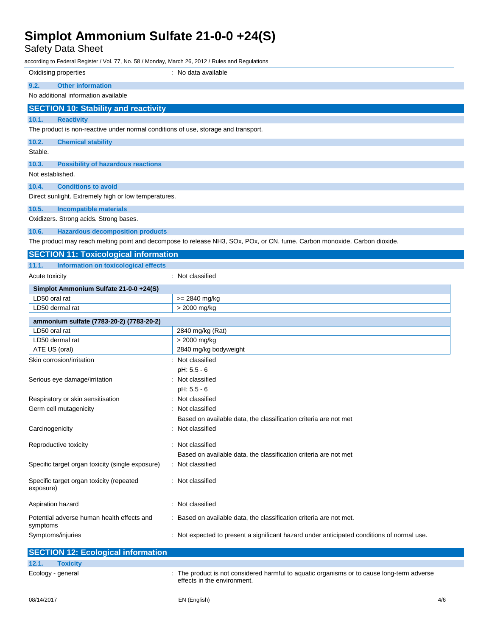Safety Data Sheet

according to Federal Register / Vol. 77, No. 58 / Monday, March 26, 2012 / Rules and Regulations

| 9.2.<br><b>Other information</b><br>No additional information available<br><b>SECTION 10: Stability and reactivity</b><br>10.1.<br><b>Reactivity</b><br>The product is non-reactive under normal conditions of use, storage and transport.<br>10.2.<br><b>Chemical stability</b><br>Stable.<br>10.3.<br><b>Possibility of hazardous reactions</b><br>Not established.<br>10.4.<br><b>Conditions to avoid</b><br>Direct sunlight. Extremely high or low temperatures.<br>10.5.<br><b>Incompatible materials</b><br>Oxidizers. Strong acids. Strong bases.<br>10.6.<br><b>Hazardous decomposition products</b><br>The product may reach melting point and decompose to release NH3, SOx, POx, or CN. fume. Carbon monoxide. Carbon dioxide.<br><b>SECTION 11: Toxicological information</b><br>Information on toxicological effects<br>11.1.<br>: Not classified<br>Acute toxicity<br>Simplot Ammonium Sulfate 21-0-0 +24(S)<br>LD50 oral rat<br>>= 2840 mg/kg<br>LD50 dermal rat<br>> 2000 mg/kg<br>ammonium sulfate (7783-20-2) (7783-20-2)<br>LD50 oral rat<br>2840 mg/kg (Rat)<br>> 2000 mg/kg<br>LD50 dermal rat<br>ATE US (oral)<br>2840 mg/kg bodyweight<br>Skin corrosion/irritation<br>: Not classified<br>pH: 5.5 - 6<br>Serious eye damage/irritation<br>: Not classified<br>pH: 5.5 - 6<br>: Not classified<br>Respiratory or skin sensitisation<br>Germ cell mutagenicity<br>Not classified<br>Based on available data, the classification criteria are not met<br>Carcinogenicity<br>Not classified<br>Reproductive toxicity<br>: Not classified<br>Based on available data, the classification criteria are not met<br>Specific target organ toxicity (single exposure)<br>: Not classified<br>: Not classified<br>Specific target organ toxicity (repeated<br>exposure) | Oxidising properties | : No data available |
|---------------------------------------------------------------------------------------------------------------------------------------------------------------------------------------------------------------------------------------------------------------------------------------------------------------------------------------------------------------------------------------------------------------------------------------------------------------------------------------------------------------------------------------------------------------------------------------------------------------------------------------------------------------------------------------------------------------------------------------------------------------------------------------------------------------------------------------------------------------------------------------------------------------------------------------------------------------------------------------------------------------------------------------------------------------------------------------------------------------------------------------------------------------------------------------------------------------------------------------------------------------------------------------------------------------------------------------------------------------------------------------------------------------------------------------------------------------------------------------------------------------------------------------------------------------------------------------------------------------------------------------------------------------------------------------------------------------------------------------------------------------------------------------|----------------------|---------------------|
|                                                                                                                                                                                                                                                                                                                                                                                                                                                                                                                                                                                                                                                                                                                                                                                                                                                                                                                                                                                                                                                                                                                                                                                                                                                                                                                                                                                                                                                                                                                                                                                                                                                                                                                                                                                       |                      |                     |
|                                                                                                                                                                                                                                                                                                                                                                                                                                                                                                                                                                                                                                                                                                                                                                                                                                                                                                                                                                                                                                                                                                                                                                                                                                                                                                                                                                                                                                                                                                                                                                                                                                                                                                                                                                                       |                      |                     |
|                                                                                                                                                                                                                                                                                                                                                                                                                                                                                                                                                                                                                                                                                                                                                                                                                                                                                                                                                                                                                                                                                                                                                                                                                                                                                                                                                                                                                                                                                                                                                                                                                                                                                                                                                                                       |                      |                     |
|                                                                                                                                                                                                                                                                                                                                                                                                                                                                                                                                                                                                                                                                                                                                                                                                                                                                                                                                                                                                                                                                                                                                                                                                                                                                                                                                                                                                                                                                                                                                                                                                                                                                                                                                                                                       |                      |                     |
|                                                                                                                                                                                                                                                                                                                                                                                                                                                                                                                                                                                                                                                                                                                                                                                                                                                                                                                                                                                                                                                                                                                                                                                                                                                                                                                                                                                                                                                                                                                                                                                                                                                                                                                                                                                       |                      |                     |
|                                                                                                                                                                                                                                                                                                                                                                                                                                                                                                                                                                                                                                                                                                                                                                                                                                                                                                                                                                                                                                                                                                                                                                                                                                                                                                                                                                                                                                                                                                                                                                                                                                                                                                                                                                                       |                      |                     |
|                                                                                                                                                                                                                                                                                                                                                                                                                                                                                                                                                                                                                                                                                                                                                                                                                                                                                                                                                                                                                                                                                                                                                                                                                                                                                                                                                                                                                                                                                                                                                                                                                                                                                                                                                                                       |                      |                     |
|                                                                                                                                                                                                                                                                                                                                                                                                                                                                                                                                                                                                                                                                                                                                                                                                                                                                                                                                                                                                                                                                                                                                                                                                                                                                                                                                                                                                                                                                                                                                                                                                                                                                                                                                                                                       |                      |                     |
|                                                                                                                                                                                                                                                                                                                                                                                                                                                                                                                                                                                                                                                                                                                                                                                                                                                                                                                                                                                                                                                                                                                                                                                                                                                                                                                                                                                                                                                                                                                                                                                                                                                                                                                                                                                       |                      |                     |
|                                                                                                                                                                                                                                                                                                                                                                                                                                                                                                                                                                                                                                                                                                                                                                                                                                                                                                                                                                                                                                                                                                                                                                                                                                                                                                                                                                                                                                                                                                                                                                                                                                                                                                                                                                                       |                      |                     |
|                                                                                                                                                                                                                                                                                                                                                                                                                                                                                                                                                                                                                                                                                                                                                                                                                                                                                                                                                                                                                                                                                                                                                                                                                                                                                                                                                                                                                                                                                                                                                                                                                                                                                                                                                                                       |                      |                     |
|                                                                                                                                                                                                                                                                                                                                                                                                                                                                                                                                                                                                                                                                                                                                                                                                                                                                                                                                                                                                                                                                                                                                                                                                                                                                                                                                                                                                                                                                                                                                                                                                                                                                                                                                                                                       |                      |                     |
|                                                                                                                                                                                                                                                                                                                                                                                                                                                                                                                                                                                                                                                                                                                                                                                                                                                                                                                                                                                                                                                                                                                                                                                                                                                                                                                                                                                                                                                                                                                                                                                                                                                                                                                                                                                       |                      |                     |
|                                                                                                                                                                                                                                                                                                                                                                                                                                                                                                                                                                                                                                                                                                                                                                                                                                                                                                                                                                                                                                                                                                                                                                                                                                                                                                                                                                                                                                                                                                                                                                                                                                                                                                                                                                                       |                      |                     |
|                                                                                                                                                                                                                                                                                                                                                                                                                                                                                                                                                                                                                                                                                                                                                                                                                                                                                                                                                                                                                                                                                                                                                                                                                                                                                                                                                                                                                                                                                                                                                                                                                                                                                                                                                                                       |                      |                     |
|                                                                                                                                                                                                                                                                                                                                                                                                                                                                                                                                                                                                                                                                                                                                                                                                                                                                                                                                                                                                                                                                                                                                                                                                                                                                                                                                                                                                                                                                                                                                                                                                                                                                                                                                                                                       |                      |                     |
|                                                                                                                                                                                                                                                                                                                                                                                                                                                                                                                                                                                                                                                                                                                                                                                                                                                                                                                                                                                                                                                                                                                                                                                                                                                                                                                                                                                                                                                                                                                                                                                                                                                                                                                                                                                       |                      |                     |
|                                                                                                                                                                                                                                                                                                                                                                                                                                                                                                                                                                                                                                                                                                                                                                                                                                                                                                                                                                                                                                                                                                                                                                                                                                                                                                                                                                                                                                                                                                                                                                                                                                                                                                                                                                                       |                      |                     |
|                                                                                                                                                                                                                                                                                                                                                                                                                                                                                                                                                                                                                                                                                                                                                                                                                                                                                                                                                                                                                                                                                                                                                                                                                                                                                                                                                                                                                                                                                                                                                                                                                                                                                                                                                                                       |                      |                     |
|                                                                                                                                                                                                                                                                                                                                                                                                                                                                                                                                                                                                                                                                                                                                                                                                                                                                                                                                                                                                                                                                                                                                                                                                                                                                                                                                                                                                                                                                                                                                                                                                                                                                                                                                                                                       |                      |                     |
|                                                                                                                                                                                                                                                                                                                                                                                                                                                                                                                                                                                                                                                                                                                                                                                                                                                                                                                                                                                                                                                                                                                                                                                                                                                                                                                                                                                                                                                                                                                                                                                                                                                                                                                                                                                       |                      |                     |
|                                                                                                                                                                                                                                                                                                                                                                                                                                                                                                                                                                                                                                                                                                                                                                                                                                                                                                                                                                                                                                                                                                                                                                                                                                                                                                                                                                                                                                                                                                                                                                                                                                                                                                                                                                                       |                      |                     |
|                                                                                                                                                                                                                                                                                                                                                                                                                                                                                                                                                                                                                                                                                                                                                                                                                                                                                                                                                                                                                                                                                                                                                                                                                                                                                                                                                                                                                                                                                                                                                                                                                                                                                                                                                                                       |                      |                     |
|                                                                                                                                                                                                                                                                                                                                                                                                                                                                                                                                                                                                                                                                                                                                                                                                                                                                                                                                                                                                                                                                                                                                                                                                                                                                                                                                                                                                                                                                                                                                                                                                                                                                                                                                                                                       |                      |                     |
|                                                                                                                                                                                                                                                                                                                                                                                                                                                                                                                                                                                                                                                                                                                                                                                                                                                                                                                                                                                                                                                                                                                                                                                                                                                                                                                                                                                                                                                                                                                                                                                                                                                                                                                                                                                       |                      |                     |
|                                                                                                                                                                                                                                                                                                                                                                                                                                                                                                                                                                                                                                                                                                                                                                                                                                                                                                                                                                                                                                                                                                                                                                                                                                                                                                                                                                                                                                                                                                                                                                                                                                                                                                                                                                                       |                      |                     |
|                                                                                                                                                                                                                                                                                                                                                                                                                                                                                                                                                                                                                                                                                                                                                                                                                                                                                                                                                                                                                                                                                                                                                                                                                                                                                                                                                                                                                                                                                                                                                                                                                                                                                                                                                                                       |                      |                     |
|                                                                                                                                                                                                                                                                                                                                                                                                                                                                                                                                                                                                                                                                                                                                                                                                                                                                                                                                                                                                                                                                                                                                                                                                                                                                                                                                                                                                                                                                                                                                                                                                                                                                                                                                                                                       |                      |                     |
|                                                                                                                                                                                                                                                                                                                                                                                                                                                                                                                                                                                                                                                                                                                                                                                                                                                                                                                                                                                                                                                                                                                                                                                                                                                                                                                                                                                                                                                                                                                                                                                                                                                                                                                                                                                       |                      |                     |
|                                                                                                                                                                                                                                                                                                                                                                                                                                                                                                                                                                                                                                                                                                                                                                                                                                                                                                                                                                                                                                                                                                                                                                                                                                                                                                                                                                                                                                                                                                                                                                                                                                                                                                                                                                                       |                      |                     |
|                                                                                                                                                                                                                                                                                                                                                                                                                                                                                                                                                                                                                                                                                                                                                                                                                                                                                                                                                                                                                                                                                                                                                                                                                                                                                                                                                                                                                                                                                                                                                                                                                                                                                                                                                                                       |                      |                     |
|                                                                                                                                                                                                                                                                                                                                                                                                                                                                                                                                                                                                                                                                                                                                                                                                                                                                                                                                                                                                                                                                                                                                                                                                                                                                                                                                                                                                                                                                                                                                                                                                                                                                                                                                                                                       |                      |                     |
|                                                                                                                                                                                                                                                                                                                                                                                                                                                                                                                                                                                                                                                                                                                                                                                                                                                                                                                                                                                                                                                                                                                                                                                                                                                                                                                                                                                                                                                                                                                                                                                                                                                                                                                                                                                       |                      |                     |
|                                                                                                                                                                                                                                                                                                                                                                                                                                                                                                                                                                                                                                                                                                                                                                                                                                                                                                                                                                                                                                                                                                                                                                                                                                                                                                                                                                                                                                                                                                                                                                                                                                                                                                                                                                                       |                      |                     |
|                                                                                                                                                                                                                                                                                                                                                                                                                                                                                                                                                                                                                                                                                                                                                                                                                                                                                                                                                                                                                                                                                                                                                                                                                                                                                                                                                                                                                                                                                                                                                                                                                                                                                                                                                                                       |                      |                     |
|                                                                                                                                                                                                                                                                                                                                                                                                                                                                                                                                                                                                                                                                                                                                                                                                                                                                                                                                                                                                                                                                                                                                                                                                                                                                                                                                                                                                                                                                                                                                                                                                                                                                                                                                                                                       |                      |                     |
|                                                                                                                                                                                                                                                                                                                                                                                                                                                                                                                                                                                                                                                                                                                                                                                                                                                                                                                                                                                                                                                                                                                                                                                                                                                                                                                                                                                                                                                                                                                                                                                                                                                                                                                                                                                       |                      |                     |
|                                                                                                                                                                                                                                                                                                                                                                                                                                                                                                                                                                                                                                                                                                                                                                                                                                                                                                                                                                                                                                                                                                                                                                                                                                                                                                                                                                                                                                                                                                                                                                                                                                                                                                                                                                                       |                      |                     |
|                                                                                                                                                                                                                                                                                                                                                                                                                                                                                                                                                                                                                                                                                                                                                                                                                                                                                                                                                                                                                                                                                                                                                                                                                                                                                                                                                                                                                                                                                                                                                                                                                                                                                                                                                                                       |                      |                     |
|                                                                                                                                                                                                                                                                                                                                                                                                                                                                                                                                                                                                                                                                                                                                                                                                                                                                                                                                                                                                                                                                                                                                                                                                                                                                                                                                                                                                                                                                                                                                                                                                                                                                                                                                                                                       |                      |                     |
| : Not classified<br>Aspiration hazard                                                                                                                                                                                                                                                                                                                                                                                                                                                                                                                                                                                                                                                                                                                                                                                                                                                                                                                                                                                                                                                                                                                                                                                                                                                                                                                                                                                                                                                                                                                                                                                                                                                                                                                                                 |                      |                     |
| Potential adverse human health effects and<br>Based on available data, the classification criteria are not met.<br>symptoms                                                                                                                                                                                                                                                                                                                                                                                                                                                                                                                                                                                                                                                                                                                                                                                                                                                                                                                                                                                                                                                                                                                                                                                                                                                                                                                                                                                                                                                                                                                                                                                                                                                           |                      |                     |
| Not expected to present a significant hazard under anticipated conditions of normal use.<br>Symptoms/injuries                                                                                                                                                                                                                                                                                                                                                                                                                                                                                                                                                                                                                                                                                                                                                                                                                                                                                                                                                                                                                                                                                                                                                                                                                                                                                                                                                                                                                                                                                                                                                                                                                                                                         |                      |                     |

| <b>SECTION 12: Ecological information</b> |                                                                                                                           |
|-------------------------------------------|---------------------------------------------------------------------------------------------------------------------------|
| 12.1.<br><b>Toxicity</b>                  |                                                                                                                           |
| Ecology - general                         | : The product is not considered harmful to aquatic organisms or to cause long-term adverse<br>effects in the environment. |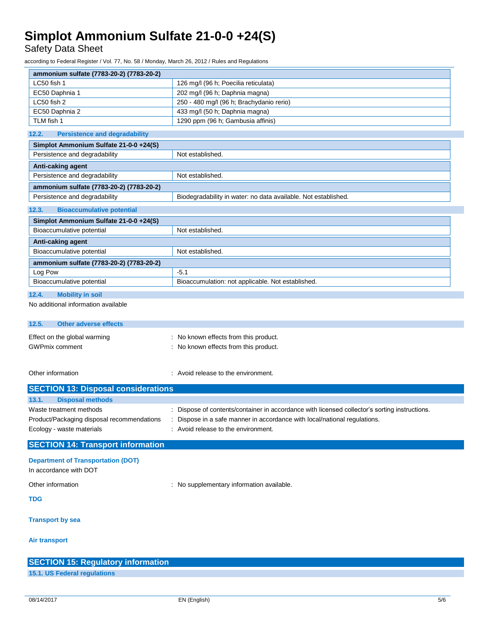Safety Data Sheet

according to Federal Register / Vol. 77, No. 58 / Monday, March 26, 2012 / Rules and Regulations

| ammonium sulfate (7783-20-2) (7783-20-2)      |                                                                                               |
|-----------------------------------------------|-----------------------------------------------------------------------------------------------|
| LC50 fish 1                                   | 126 mg/l (96 h; Poecilia reticulata)                                                          |
| EC50 Daphnia 1                                | 202 mg/l (96 h; Daphnia magna)                                                                |
| LC50 fish 2                                   | 250 - 480 mg/l (96 h; Brachydanio rerio)                                                      |
| EC50 Daphnia 2                                | 433 mg/l (50 h; Daphnia magna)                                                                |
| TLM fish 1                                    | 1290 ppm (96 h; Gambusia affinis)                                                             |
| 12.2.<br><b>Persistence and degradability</b> |                                                                                               |
| Simplot Ammonium Sulfate 21-0-0 +24(S)        |                                                                                               |
| Persistence and degradability                 | Not established.                                                                              |
| Anti-caking agent                             |                                                                                               |
| Persistence and degradability                 | Not established.                                                                              |
| ammonium sulfate (7783-20-2) (7783-20-2)      |                                                                                               |
| Persistence and degradability                 | Biodegradability in water: no data available. Not established.                                |
| <b>Bioaccumulative potential</b><br>12.3.     |                                                                                               |
| Simplot Ammonium Sulfate 21-0-0 +24(S)        |                                                                                               |
| Bioaccumulative potential                     | Not established.                                                                              |
| Anti-caking agent                             |                                                                                               |
| Bioaccumulative potential                     | Not established.                                                                              |
| ammonium sulfate (7783-20-2) (7783-20-2)      |                                                                                               |
| Log Pow                                       | $-5.1$                                                                                        |
| Bioaccumulative potential                     | Bioaccumulation: not applicable. Not established.                                             |
| 12.4.<br><b>Mobility in soil</b>              |                                                                                               |
| No additional information available           |                                                                                               |
| 12.5.<br><b>Other adverse effects</b>         |                                                                                               |
| Effect on the global warming                  | : No known effects from this product.                                                         |
| <b>GWPmix comment</b>                         | : No known effects from this product.                                                         |
|                                               |                                                                                               |
|                                               |                                                                                               |
| Other information                             | : Avoid release to the environment.                                                           |
| <b>SECTION 13: Disposal considerations</b>    |                                                                                               |
| 13.1.<br><b>Disposal methods</b>              |                                                                                               |
| Waste treatment methods                       | : Dispose of contents/container in accordance with licensed collector's sorting instructions. |
| Product/Packaging disposal recommendations    | : Dispose in a safe manner in accordance with local/national regulations.                     |
| Ecology - waste materials                     | : Avoid release to the environment.                                                           |
| <b>SECTION 14: Transport information</b>      |                                                                                               |
| <b>Department of Transportation (DOT)</b>     |                                                                                               |
| In accordance with DOT                        |                                                                                               |
|                                               |                                                                                               |
| Other information                             | : No supplementary information available.                                                     |
| TDG                                           |                                                                                               |
|                                               |                                                                                               |
| <b>Transport by sea</b>                       |                                                                                               |

#### **Air transport**

| <b>SECTION 15: Regulatory information</b> |  |
|-------------------------------------------|--|
| 15.1. US Federal regulations              |  |
|                                           |  |